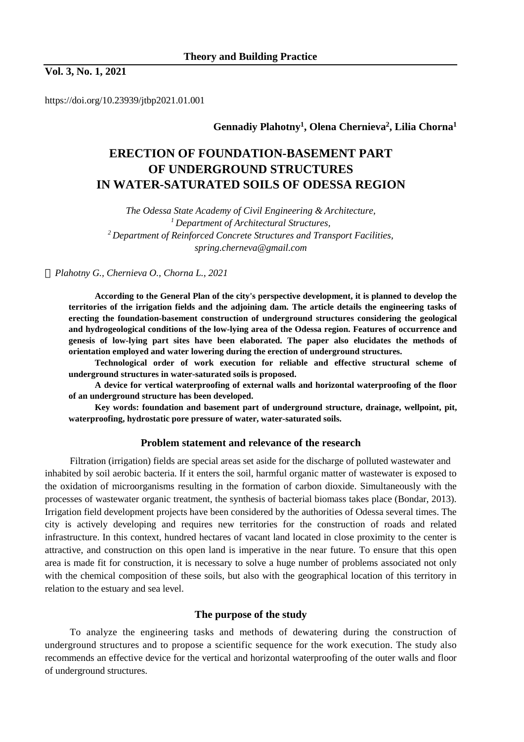# **Vol. 3, No. 1, 2021**

https://doi.org/10.23939/jtbp2021.01.001

# **Gennadiy Plahotny<sup>1</sup> , Olena Chernieva<sup>2</sup> , Lilia Chorna<sup>1</sup>**

# **ERECTION OF FOUNDATION-BASEMENT PART OF UNDERGROUND STRUCTURES IN WATER-SATURATED SOILS OF ODESSA REGION**

*The Odessa State Academy of Civil Engineering & Architecture, <sup>1</sup>Department of Architectural Structures, <sup>2</sup>Department of Reinforced Concrete Structures and Transport Facilities, spring.cherneva@gmail.com* 

*Plahotny G., Chernieva O., Chorna L., 2021* 

**According to the General Plan of the city's perspective development, it is planned to develop the territories of the irrigation fields and the adjoining dam. The article details the engineering tasks of erecting the foundation-basement construction of underground structures considering the geological and hydrogeological conditions of the low-lying area of the Odessa region. Features of occurrence and genesis of low-lying part sites have been elaborated. The paper also elucidates the methods of orientation employed and water lowering during the erection of underground structures.** 

**Technological order of work execution for reliable and effective structural scheme of underground structures in water-saturated soils is proposed.** 

**A device for vertical waterproofing of external walls and horizontal waterproofing of the floor of an underground structure has been developed.** 

**Key words: foundation and basement part of underground structure, drainage, wellpoint, pit, waterproofing, hydrostatic pore pressure of water, water-saturated soils.** 

#### **Problem statement and relevance of the research**

Filtration (irrigation) fields are special areas set aside for the discharge of polluted wastewater and inhabited by soil aerobic bacteria. If it enters the soil, harmful organic matter of wastewater is exposed to the oxidation of microorganisms resulting in the formation of carbon dioxide. Simultaneously with the processes of wastewater organic treatment, the synthesis of bacterial biomass takes place (Bondar, 2013). Irrigation field development projects have been considered by the authorities of Odessa several times. The city is actively developing and requires new territories for the construction of roads and related infrastructure. In this context, hundred hectares of vacant land located in close proximity to the center is attractive, and construction on this open land is imperative in the near future. To ensure that this open area is made fit for construction, it is necessary to solve a huge number of problems associated not only with the chemical composition of these soils, but also with the geographical location of this territory in relation to the estuary and sea level.

# **The purpose of the study**

To analyze the engineering tasks and methods of dewatering during the construction of underground structures and to propose a scientific sequence for the work execution. The study also recommends an effective device for the vertical and horizontal waterproofing of the outer walls and floor of underground structures.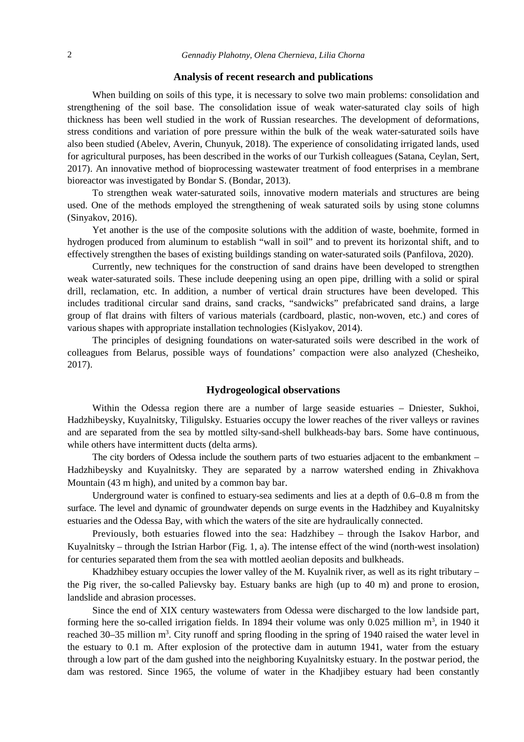#### **Analysis of recent research and publications**

When building on soils of this type, it is necessary to solve two main problems: consolidation and strengthening of the soil base. The consolidation issue of weak water-saturated clay soils of high thickness has been well studied in the work of Russian researches. The development of deformations, stress conditions and variation of pore pressure within the bulk of the weak water-saturated soils have also been studied (Abelev, Averin, Chunyuk, 2018). The experience of consolidating irrigated lands, used for agricultural purposes, has been described in the works of our Turkish colleagues (Satana, Ceylan, Sert, 2017). An innovative method of bioprocessing wastewater treatment of food enterprises in a membrane bioreactor was investigated by Bondar S. (Bondar, 2013).

To strengthen weak water-saturated soils, innovative modern materials and structures are being used. One of the methods employed the strengthening of weak saturated soils by using stone columns (Sinyakov, 2016).

Yet another is the use of the composite solutions with the addition of waste, boehmite, formed in hydrogen produced from aluminum to establish "wall in soil" and to prevent its horizontal shift, and to effectively strengthen the bases of existing buildings standing on water-saturated soils (Panfilova, 2020).

Currently, new techniques for the construction of sand drains have been developed to strengthen weak water-saturated soils. These include deepening using an open pipe, drilling with a solid or spiral drill, reclamation, etc. In addition, a number of vertical drain structures have been developed. This includes traditional circular sand drains, sand cracks, "sandwicks" prefabricated sand drains, a large group of flat drains with filters of various materials (cardboard, plastic, non-woven, etc.) and cores of various shapes with appropriate installation technologies (Kislyakov, 2014).

The principles of designing foundations on water-saturated soils were described in the work of colleagues from Belarus, possible ways of foundations' compaction were also analyzed (Chesheiko, 2017).

### **Hydrogeological observations**

Within the Odessa region there are a number of large seaside estuaries – Dniester, Sukhoi, Hadzhibeysky, Kuyalnitsky, Tiligulsky. Estuaries occupy the lower reaches of the river valleys or ravines and are separated from the sea by mottled silty-sand-shell bulkheads-bay bars. Some have continuous, while others have intermittent ducts (delta arms).

The city borders of Odessa include the southern parts of two estuaries adjacent to the embankment – Hadzhibeysky and Kuyalnitsky. They are separated by a narrow watershed ending in Zhivakhova Mountain (43 m high), and united by a common bay bar.

Underground water is confined to estuary-sea sediments and lies at a depth of 0.6–0.8 m from the surface. The level and dynamic of groundwater depends on surge events in the Hadzhibey and Kuyalnitsky estuaries and the Odessa Bay, with which the waters of the site are hydraulically connected.

Previously, both estuaries flowed into the sea: Hadzhibey – through the Isakov Harbor, and Kuyalnitsky – through the Istrian Harbor (Fig. 1, a). The intense effect of the wind (north-west insolation) for centuries separated them from the sea with mottled aeolian deposits and bulkheads.

Khadzhibey estuary occupies the lower valley of the M. Kuyalnik river, as well as its right tributary  $$ the Pig river, the so-called Palievsky bay. Estuary banks are high (up to 40 m) and prone to erosion, landslide and abrasion processes.

Since the end of XIX century wastewaters from Odessa were discharged to the low landside part, forming here the so-called irrigation fields. In 1894 their volume was only  $0.025$  million m<sup>3</sup>, in 1940 it reached 30–35 million m<sup>3</sup>. City runoff and spring flooding in the spring of 1940 raised the water level in the estuary to 0.1 m. After explosion of the protective dam in autumn 1941, water from the estuary through a low part of the dam gushed into the neighboring Kuyalnitsky estuary. In the postwar period, the dam was restored. Since 1965, the volume of water in the Khadjibey estuary had been constantly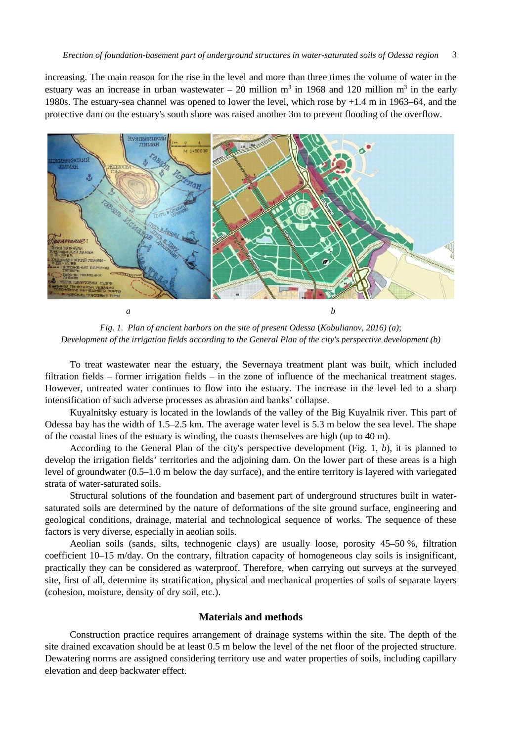increasing. The main reason for the rise in the level and more than three times the volume of water in the estuary was an increase in urban wastewater  $-20$  million m<sup>3</sup> in 1968 and 120 million m<sup>3</sup> in the early 1980s. The estuary-sea channel was opened to lower the level, which rose by +1.4 m in 1963–64, and the protective dam on the estuary's south shore was raised another 3m to prevent flooding of the overflow.



*Fig. 1. Plan of ancient harbors on the site of present Odessa* (*Kobulianov, 2016) (a)*; *Development of the irrigation fields according to the General Plan of the city's perspective development (b)* 

To treat wastewater near the estuary, the Severnaya treatment plant was built, which included filtration fields – former irrigation fields – in the zone of influence of the mechanical treatment stages. However, untreated water continues to flow into the estuary. The increase in the level led to a sharp intensification of such adverse processes as abrasion and banks' collapse.

Kuyalnitsky estuary is located in the lowlands of the valley of the Big Kuyalnik river. This part of Odessa bay has the width of 1.5–2.5 km. The average water level is 5.3 m below the sea level. The shape of the coastal lines of the estuary is winding, the coasts themselves are high (up to 40 m).

According to the General Plan of the city's perspective development (Fig. 1, *b*), it is planned to develop the irrigation fields' territories and the adjoining dam. On the lower part of these areas is a high level of groundwater (0.5–1.0 m below the day surface), and the entire territory is layered with variegated strata of water-saturated soils.

Structural solutions of the foundation and basement part of underground structures built in watersaturated soils are determined by the nature of deformations of the site ground surface, engineering and geological conditions, drainage, material and technological sequence of works. The sequence of these factors is very diverse, especially in aeolian soils.

Aeolian soils (sands, silts, technogenic clays) are usually loose, porosity 45–50 %, filtration coefficient 10–15 m/day. On the contrary, filtration capacity of homogeneous clay soils is insignificant, practically they can be considered as waterproof. Therefore, when carrying out surveys at the surveyed site, first of all, determine its stratification, physical and mechanical properties of soils of separate layers (cohesion, moisture, density of dry soil, etc.).

## **Materials and methods**

Construction practice requires arrangement of drainage systems within the site. The depth of the site drained excavation should be at least 0.5 m below the level of the net floor of the projected structure. Dewatering norms are assigned considering territory use and water properties of soils, including capillary elevation and deep backwater effect.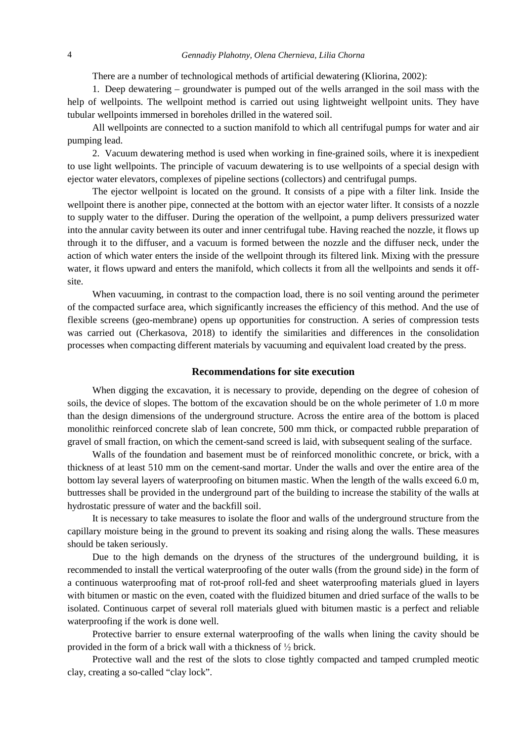There are a number of technological methods of artificial dewatering (Kliorina, 2002):

1. Deep dewatering – groundwater is pumped out of the wells arranged in the soil mass with the help of wellpoints. The wellpoint method is carried out using lightweight wellpoint units. They have tubular wellpoints immersed in boreholes drilled in the watered soil.

All wellpoints are connected to a suction manifold to which all centrifugal pumps for water and air pumping lead.

2. Vacuum dewatering method is used when working in fine-grained soils, where it is inexpedient to use light wellpoints. The principle of vacuum dewatering is to use wellpoints of a special design with ejector water elevators, complexes of pipeline sections (collectors) and centrifugal pumps.

The ejector wellpoint is located on the ground. It consists of a pipe with a filter link. Inside the wellpoint there is another pipe, connected at the bottom with an ejector water lifter. It consists of a nozzle to supply water to the diffuser. During the operation of the wellpoint, a pump delivers pressurized water into the annular cavity between its outer and inner centrifugal tube. Having reached the nozzle, it flows up through it to the diffuser, and a vacuum is formed between the nozzle and the diffuser neck, under the action of which water enters the inside of the wellpoint through its filtered link. Mixing with the pressure water, it flows upward and enters the manifold, which collects it from all the wellpoints and sends it offsite.

When vacuuming, in contrast to the compaction load, there is no soil venting around the perimeter of the compacted surface area, which significantly increases the efficiency of this method. And the use of flexible screens (geo-membrane) opens up opportunities for construction. A series of compression tests was carried out (Cherkasova, 2018) to identify the similarities and differences in the consolidation processes when compacting different materials by vacuuming and equivalent load created by the press.

### **Recommendations for site execution**

When digging the excavation, it is necessary to provide, depending on the degree of cohesion of soils, the device of slopes. The bottom of the excavation should be on the whole perimeter of 1.0 m more than the design dimensions of the underground structure. Across the entire area of the bottom is placed monolithic reinforced concrete slab of lean concrete, 500 mm thick, or compacted rubble preparation of gravel of small fraction, on which the cement-sand screed is laid, with subsequent sealing of the surface.

Walls of the foundation and basement must be of reinforced monolithic concrete, or brick, with a thickness of at least 510 mm on the cement-sand mortar. Under the walls and over the entire area of the bottom lay several layers of waterproofing on bitumen mastic. When the length of the walls exceed 6.0 m, buttresses shall be provided in the underground part of the building to increase the stability of the walls at hydrostatic pressure of water and the backfill soil.

It is necessary to take measures to isolate the floor and walls of the underground structure from the capillary moisture being in the ground to prevent its soaking and rising along the walls. These measures should be taken seriously.

Due to the high demands on the dryness of the structures of the underground building, it is recommended to install the vertical waterproofing of the outer walls (from the ground side) in the form of a continuous waterproofing mat of rot-proof roll-fed and sheet waterproofing materials glued in layers with bitumen or mastic on the even, coated with the fluidized bitumen and dried surface of the walls to be isolated. Continuous carpet of several roll materials glued with bitumen mastic is a perfect and reliable waterproofing if the work is done well.

Protective barrier to ensure external waterproofing of the walls when lining the cavity should be provided in the form of a brick wall with a thickness of ½ brick.

Protective wall and the rest of the slots to close tightly compacted and tamped crumpled meotic clay, creating a so-called "clay lock".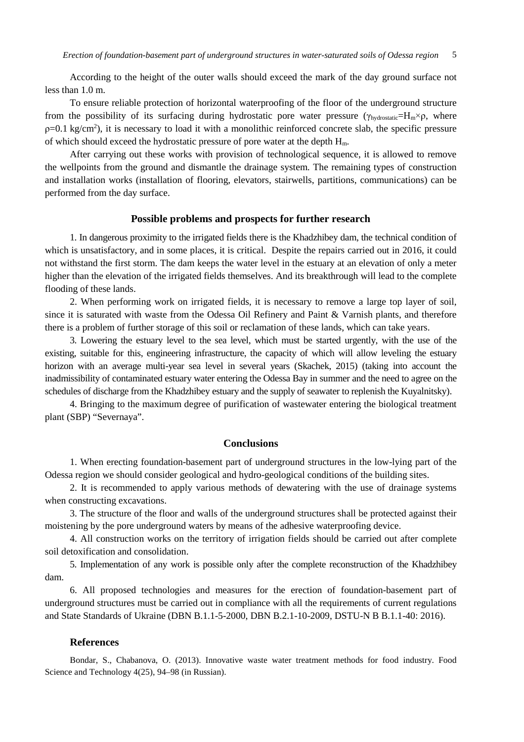According to the height of the outer walls should exceed the mark of the day ground surface not less than 1.0 m.

To ensure reliable protection of horizontal waterproofing of the floor of the underground structure from the possibility of its surfacing during hydrostatic pore water pressure ( $\gamma_{\text{hvdrostatic}}=H_m\times\rho$ , where  $p=0.1$  kg/cm<sup>2</sup>), it is necessary to load it with a monolithic reinforced concrete slab, the specific pressure of which should exceed the hydrostatic pressure of pore water at the depth  $H_m$ .

After carrying out these works with provision of technological sequence, it is allowed to remove the wellpoints from the ground and dismantle the drainage system. The remaining types of construction and installation works (installation of flooring, elevators, stairwells, partitions, communications) can be performed from the day surface.

#### **Possible problems and prospects for further research**

1. In dangerous proximity to the irrigated fields there is the Khadzhibey dam, the technical condition of which is unsatisfactory, and in some places, it is critical. Despite the repairs carried out in 2016, it could not withstand the first storm. The dam keeps the water level in the estuary at an elevation of only a meter higher than the elevation of the irrigated fields themselves. And its breakthrough will lead to the complete flooding of these lands.

2. When performing work on irrigated fields, it is necessary to remove a large top layer of soil, since it is saturated with waste from the Odessa Oil Refinery and Paint & Varnish plants, and therefore there is a problem of further storage of this soil or reclamation of these lands, which can take years.

3. Lowering the estuary level to the sea level, which must be started urgently, with the use of the existing, suitable for this, engineering infrastructure, the capacity of which will allow leveling the estuary horizon with an average multi-year sea level in several years (Skachek, 2015) (taking into account the inadmissibility of contaminated estuary water entering the Odessa Bay in summer and the need to agree on the schedules of discharge from the Khadzhibey estuary and the supply of seawater to replenish the Kuyalnitsky).

4. Bringing to the maximum degree of purification of wastewater entering the biological treatment plant (SBP) "Severnaya".

## **Conclusions**

1. When erecting foundation-basement part of underground structures in the low-lying part of the Odessa region we should consider geological and hydro-geological conditions of the building sites.

2. It is recommended to apply various methods of dewatering with the use of drainage systems when constructing excavations.

3. The structure of the floor and walls of the underground structures shall be protected against their moistening by the pore underground waters by means of the adhesive waterproofing device.

4. All construction works on the territory of irrigation fields should be carried out after complete soil detoxification and consolidation.

5. Implementation of any work is possible only after the complete reconstruction of the Khadzhibey dam.

6. All proposed technologies and measures for the erection of foundation-basement part of underground structures must be carried out in compliance with all the requirements of current regulations and State Standards of Ukraine (DBN B.1.1-5-2000, DBN B.2.1-10-2009, DSTU-N B B.1.1-40: 2016).

#### **References**

Bondar, S., Chabanova, O. (2013). Innovative waste water treatment methods for food industry. Food Science and Technology 4(25), 94–98 (in Russian).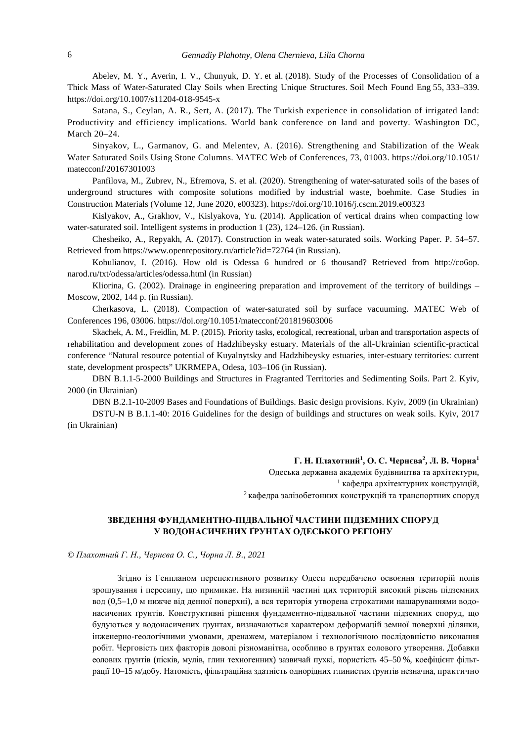Abelev, M. Y., Averin, I. V., Chunyuk, D. Y. et al. (2018). Study of the Processes of Consolidation of a Thick Mass of Water-Saturated Clay Soils when Erecting Unique Structures. Soil Mech Found Eng 55, 333–339. https://doi.org/10.1007/s11204-018-9545-x

Satana, S., Ceylan, A. R., Sert, A. (2017). The Turkish experience in consolidation of irrigated land: Productivity and efficiency implications. World bank conference on land and poverty. Washington DC, March 20–24.

Sinyakov, L., Garmanov, G. and Melentev, A. (2016). Strengthening and Stabilization of the Weak Water Saturated Soils Using Stone Columns. MATEC Web of Conferences, 73, 01003. https://doi.org/10.1051/ matecconf/20167301003

Panfilova, M., Zubrev, N., Efremova, S. et al. (2020). Strengthening of water-saturated soils of the bases of underground structures with composite solutions modified by industrial waste, boehmite. Case Studies in Construction Materials (Volume 12, June 2020, e00323). https://doi.org/10.1016/j.cscm.2019.e00323

Kislyakov, A., Grakhov, V., Kislyakova, Yu. (2014). Application of vertical drains when compacting low water-saturated soil. Intelligent systems in production 1 (23), 124–126. (in Russian).

Chesheiko, A., Repyakh, A. (2017). Construction in weak water-saturated soils. Working Paper. P. 54–57. Retrieved from https://www.openrepository.ru/article?id=72764 (in Russian).

Kobulianov, I. (2016). How old is Odessa 6 hundred or 6 thousand? Retrieved from http://co6op. narod.ru/txt/odessa/articles/odessa.html (in Russian)

Kliorina, G. (2002). Drainage in engineering preparation and improvement of the territory of buildings – Moscow, 2002, 144 p. (in Russian).

Cherkasova, L. (2018). Compaction of water-saturated soil by surface vacuuming. MATEC Web of Conferences 196, 03006. https://doi.org/10.1051/matecconf/201819603006

Skachek, A. M., Freidlin, M. P. (2015). Priority tasks, ecological, recreational, urban and transportation aspects of rehabilitation and development zones of Hadzhibeysky estuary. Materials of the all-Ukrainian scientific-practical conference "Natural resource potential of Kuyalnytsky and Hadzhibeysky estuaries, inter-estuary territories: current state, development prospects" UKRMEPA, Odesa, 103–106 (in Russian).

DBN B.1.1-5-2000 Buildings and Structures in Fragranted Territories and Sedimenting Soils. Part 2. Kyiv, 2000 (in Ukrainian)

DBN B.2.1-10-2009 Bases and Foundations of Buildings. Basic design provisions. Kyiv, 2009 (in Ukrainian) DSTU-N B B.1.1-40: 2016 Guidelines for the design of buildings and structures on weak soils. Kyiv, 2017 (in Ukrainian)

**Г. Н. Плахотний<sup>1</sup> , О. С. Чернєва<sup>2</sup> , Л. В. Чорна<sup>1</sup>** 

Одеська державна академія будівництва та архітектури,  $1$  кафедра архітектурних конструкцій, <sup>2</sup> кафедра залізобетонних конструкцій та транспортних споруд

## **ЗВЕДЕННЯ ФУНДАМЕНТНО-ПІДВАЛЬНОЇ ЧАСТИНИ ПІДЗЕМНИХ СПОРУД У ВОДОНАСИЧЕНИХ ҐРУНТАХ ОДЕСЬКОГО РЕГІОНУ**

*© Плахотний Г. Н., Чернєва О. С., Чорна Л. В., 2021* 

Згідно із Генпланом перспективного розвитку Одеси передбачено освоєння територій полів зрошування і пересипу, що примикає. На низинній частині цих територій високий рівень підземних вод (0,5–1,0 м нижче від денної поверхні), а вся територія утворена строкатими нашаруваннями водонасичених ґрунтів. Конструктивні рішення фундаментно-підвальної частини підземних споруд, що будуються у водонасичених ґрунтах, визначаються характером деформацій земної поверхні ділянки, інженерно-геологічними умовами, дренажем, матеріалом і технологічною послідовністю виконання робіт. Черговість цих факторів доволі різноманітна, особливо в ґрунтах еолового утворення. Добавки еолових ґрунтів (пісків, мулів, глин техногенних) зазвичай пухкі, пористість 45–50 %, коефіцієнт фільтрації 10–15 м/добу. Натомість, фільтраційна здатність однорідних глинистих ґрунтів незначна, практично